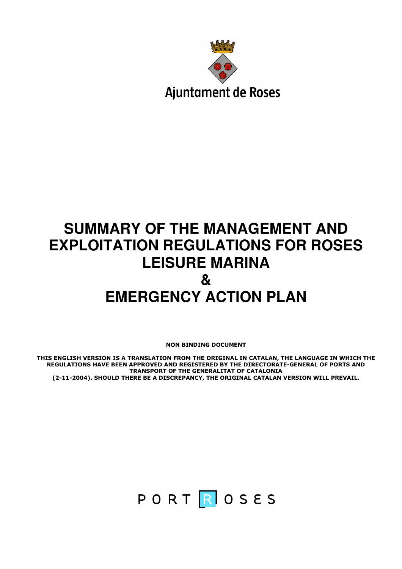

# **SUMMARY OF THE MANAGEMENT AND EXPLOITATION REGULATIONS FOR ROSES LEISURE MARINA & EMERGENCY ACTION PLAN**

NON BINDING DOCUMENT

THIS ENGLISH VERSION IS A TRANSLATION FROM THE ORIGINAL IN CATALAN, THE LANGUAGE IN WHICH THE REGULATIONS HAVE BEEN APPROVED AND REGISTERED BY THE DIRECTORATE-GENERAL OF PORTS AND TRANSPORT OF THE GENERALITAT OF CATALONIA (2-11-2004). SHOULD THERE BE A DISCREPANCY, THE ORIGINAL CATALAN VERSION WILL PREVAIL.

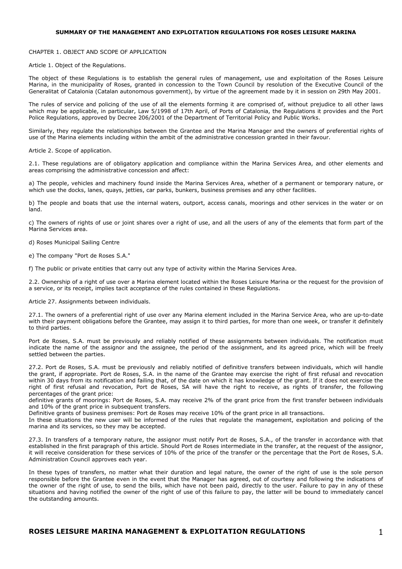# SUMMARY OF THE MANAGEMENT AND EXPLOITATION REGULATIONS FOR ROSES LEISURE MARINA

CHAPTER 1. OBJECT AND SCOPE OF APPLICATION

Article 1. Object of the Regulations.

The object of these Regulations is to establish the general rules of management, use and exploitation of the Roses Leisure Marina, in the municipality of Roses, granted in concession to the Town Council by resolution of the Executive Council of the Generalitat of Catalonia (Catalan autonomous government), by virtue of the agreement made by it in session on 29th May 2001.

The rules of service and policing of the use of all the elements forming it are comprised of, without prejudice to all other laws which may be applicable, in particular, Law 5/1998 of 17th April, of Ports of Catalonia, the Regulations it provides and the Port Police Regulations, approved by Decree 206/2001 of the Department of Territorial Policy and Public Works.

Similarly, they regulate the relationships between the Grantee and the Marina Manager and the owners of preferential rights of use of the Marina elements including within the ambit of the administrative concession granted in their favour.

Article 2. Scope of application.

2.1. These regulations are of obligatory application and compliance within the Marina Services Area, and other elements and areas comprising the administrative concession and affect:

a) The people, vehicles and machinery found inside the Marina Services Area, whether of a permanent or temporary nature, or which use the docks, lanes, quays, jetties, car parks, bunkers, business premises and any other facilities.

b) The people and boats that use the internal waters, outport, access canals, moorings and other services in the water or on land.

c) The owners of rights of use or joint shares over a right of use, and all the users of any of the elements that form part of the Marina Services area.

d) Roses Municipal Sailing Centre

e) The company "Port de Roses S.A."

f) The public or private entities that carry out any type of activity within the Marina Services Area.

2.2. Ownership of a right of use over a Marina element located within the Roses Leisure Marina or the request for the provision of a service, or its receipt, implies tacit acceptance of the rules contained in these Regulations.

Article 27. Assignments between individuals.

27.1. The owners of a preferential right of use over any Marina element included in the Marina Service Area, who are up-to-date with their payment obligations before the Grantee, may assign it to third parties, for more than one week, or transfer it definitely to third parties.

Port de Roses, S.A. must be previously and reliably notified of these assignments between individuals. The notification must indicate the name of the assignor and the assignee, the period of the assignment, and its agreed price, which will be freely settled between the parties.

27.2. Port de Roses, S.A. must be previously and reliably notified of definitive transfers between individuals, which will handle the grant, if appropriate. Port de Roses, S.A. in the name of the Grantee may exercise the right of first refusal and revocation within 30 days from its notification and failing that, of the date on which it has knowledge of the grant. If it does not exercise the right of first refusal and revocation, Port de Roses, SA will have the right to receive, as rights of transfer, the following percentages of the grant price:

definitive grants of moorings: Port de Roses, S.A. may receive 2% of the grant price from the first transfer between individuals and 10% of the grant price in subsequent transfers.

Definitive grants of business premises: Port de Roses may receive 10% of the grant price in all transactions.

In these situations the new user will be informed of the rules that regulate the management, exploitation and policing of the marina and its services, so they may be accepted.

27.3. In transfers of a temporary nature, the assignor must notify Port de Roses, S.A., of the transfer in accordance with that established in the first paragraph of this article. Should Port de Roses intermediate in the transfer, at the request of the assignor, it will receive consideration for these services of 10% of the price of the transfer or the percentage that the Port de Roses, S.A. Administration Council approves each year.

In these types of transfers, no matter what their duration and legal nature, the owner of the right of use is the sole person responsible before the Grantee even in the event that the Manager has agreed, out of courtesy and following the indications of the owner of the right of use, to send the bills, which have not been paid, directly to the user. Failure to pay in any of these situations and having notified the owner of the right of use of this failure to pay, the latter will be bound to immediately cancel the outstanding amounts.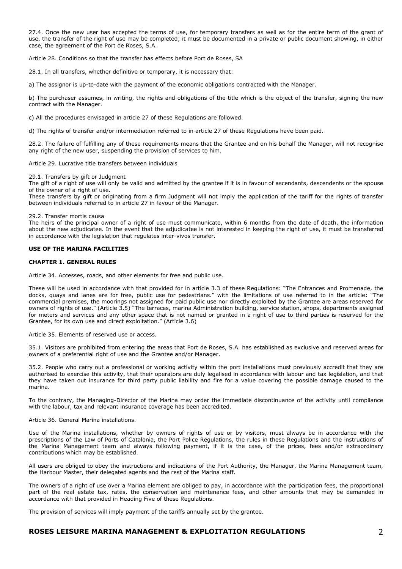27.4. Once the new user has accepted the terms of use, for temporary transfers as well as for the entire term of the grant of use, the transfer of the right of use may be completed; it must be documented in a private or public document showing, in either case, the agreement of the Port de Roses, S.A.

Article 28. Conditions so that the transfer has effects before Port de Roses, SA

28.1. In all transfers, whether definitive or temporary, it is necessary that:

a) The assignor is up-to-date with the payment of the economic obligations contracted with the Manager.

b) The purchaser assumes, in writing, the rights and obligations of the title which is the object of the transfer, signing the new contract with the Manager.

c) All the procedures envisaged in article 27 of these Regulations are followed.

d) The rights of transfer and/or intermediation referred to in article 27 of these Regulations have been paid.

28.2. The failure of fulfilling any of these requirements means that the Grantee and on his behalf the Manager, will not recognise any right of the new user, suspending the provision of services to him.

Article 29. Lucrative title transfers between individuals

29.1. Transfers by gift or Judgment

The gift of a right of use will only be valid and admitted by the grantee if it is in favour of ascendants, descendents or the spouse of the owner of a right of use.

These transfers by gift or originating from a firm Judgment will not imply the application of the tariff for the rights of transfer between individuals referred to in article 27 in favour of the Manager.

#### 29.2. Transfer mortis causa

The heirs of the principal owner of a right of use must communicate, within 6 months from the date of death, the information about the new adjudicatee. In the event that the adjudicatee is not interested in keeping the right of use, it must be transferred in accordance with the legislation that regulates inter-vivos transfer.

# USE OF THE MARINA FACILITIES

# CHAPTER 1. GENERAL RULES

Article 34. Accesses, roads, and other elements for free and public use.

These will be used in accordance with that provided for in article 3.3 of these Regulations: "The Entrances and Promenade, the docks, quays and lanes are for free, public use for pedestrians." with the limitations of use referred to in the article: "The commercial premises, the moorings not assigned for paid public use nor directly exploited by the Grantee are areas reserved for owners of rights of use." (Article 3.5) "The terraces, marina Administration building, service station, shops, departments assigned for meters and services and any other space that is not named or granted in a right of use to third parties is reserved for the Grantee, for its own use and direct exploitation." (Article 3.6)

Article 35. Elements of reserved use or access.

35.1. Visitors are prohibited from entering the areas that Port de Roses, S.A. has established as exclusive and reserved areas for owners of a preferential right of use and the Grantee and/or Manager.

35.2. People who carry out a professional or working activity within the port installations must previously accredit that they are authorised to exercise this activity, that their operators are duly legalised in accordance with labour and tax legislation, and that they have taken out insurance for third party public liability and fire for a value covering the possible damage caused to the marina.

To the contrary, the Managing-Director of the Marina may order the immediate discontinuance of the activity until compliance with the labour, tax and relevant insurance coverage has been accredited.

#### Article 36. General Marina installations.

Use of the Marina installations, whether by owners of rights of use or by visitors, must always be in accordance with the prescriptions of the Law of Ports of Catalonia, the Port Police Regulations, the rules in these Regulations and the instructions of the Marina Management team and always following payment, if it is the case, of the prices, fees and/or extraordinary contributions which may be established.

All users are obliged to obey the instructions and indications of the Port Authority, the Manager, the Marina Management team, the Harbour Master, their delegated agents and the rest of the Marina staff.

The owners of a right of use over a Marina element are obliged to pay, in accordance with the participation fees, the proportional part of the real estate tax, rates, the conservation and maintenance fees, and other amounts that may be demanded in accordance with that provided in Heading Five of these Regulations.

The provision of services will imply payment of the tariffs annually set by the grantee.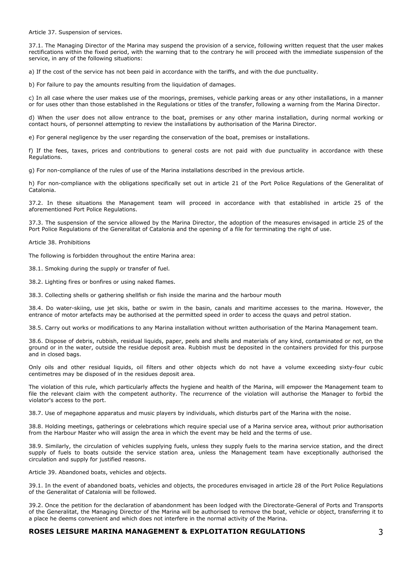Article 37. Suspension of services.

37.1. The Managing Director of the Marina may suspend the provision of a service, following written request that the user makes rectifications within the fixed period, with the warning that to the contrary he will proceed with the immediate suspension of the service, in any of the following situations:

a) If the cost of the service has not been paid in accordance with the tariffs, and with the due punctuality.

b) For failure to pay the amounts resulting from the liquidation of damages.

c) In all case where the user makes use of the moorings, premises, vehicle parking areas or any other installations, in a manner or for uses other than those established in the Regulations or titles of the transfer, following a warning from the Marina Director.

d) When the user does not allow entrance to the boat, premises or any other marina installation, during normal working or contact hours, of personnel attempting to review the installations by authorisation of the Marina Director.

e) For general negligence by the user regarding the conservation of the boat, premises or installations.

f) If the fees, taxes, prices and contributions to general costs are not paid with due punctuality in accordance with these Regulations.

g) For non-compliance of the rules of use of the Marina installations described in the previous article.

h) For non-compliance with the obligations specifically set out in article 21 of the Port Police Regulations of the Generalitat of Catalonia.

37.2. In these situations the Management team will proceed in accordance with that established in article 25 of the aforementioned Port Police Regulations.

37.3. The suspension of the service allowed by the Marina Director, the adoption of the measures envisaged in article 25 of the Port Police Regulations of the Generalitat of Catalonia and the opening of a file for terminating the right of use.

Article 38. Prohibitions

The following is forbidden throughout the entire Marina area:

38.1. Smoking during the supply or transfer of fuel.

38.2. Lighting fires or bonfires or using naked flames.

38.3. Collecting shells or gathering shellfish or fish inside the marina and the harbour mouth

38.4. Do water-skiing, use jet skis, bathe or swim in the basin, canals and maritime accesses to the marina. However, the entrance of motor artefacts may be authorised at the permitted speed in order to access the quays and petrol station.

38.5. Carry out works or modifications to any Marina installation without written authorisation of the Marina Management team.

38.6. Dispose of debris, rubbish, residual liquids, paper, peels and shells and materials of any kind, contaminated or not, on the ground or in the water, outside the residue deposit area. Rubbish must be deposited in the containers provided for this purpose and in closed bags.

Only oils and other residual liquids, oil filters and other objects which do not have a volume exceeding sixty-four cubic centimetres may be disposed of in the residues deposit area.

The violation of this rule, which particularly affects the hygiene and health of the Marina, will empower the Management team to file the relevant claim with the competent authority. The recurrence of the violation will authorise the Manager to forbid the violator's access to the port.

38.7. Use of megaphone apparatus and music players by individuals, which disturbs part of the Marina with the noise.

38.8. Holding meetings, gatherings or celebrations which require special use of a Marina service area, without prior authorisation from the Harbour Master who will assign the area in which the event may be held and the terms of use.

38.9. Similarly, the circulation of vehicles supplying fuels, unless they supply fuels to the marina service station, and the direct supply of fuels to boats outside the service station area, unless the Management team have exceptionally authorised the circulation and supply for justified reasons.

Article 39. Abandoned boats, vehicles and objects.

39.1. In the event of abandoned boats, vehicles and objects, the procedures envisaged in article 28 of the Port Police Regulations of the Generalitat of Catalonia will be followed.

39.2. Once the petition for the declaration of abandonment has been lodged with the Directorate-General of Ports and Transports of the Generalitat, the Managing Director of the Marina will be authorised to remove the boat, vehicle or object, transferring it to a place he deems convenient and which does not interfere in the normal activity of the Marina.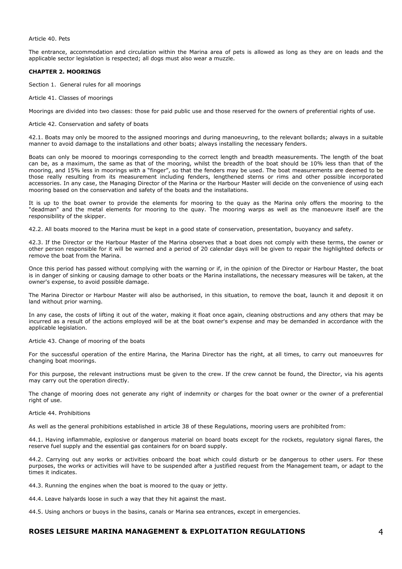#### Article 40. Pets

The entrance, accommodation and circulation within the Marina area of pets is allowed as long as they are on leads and the applicable sector legislation is respected; all dogs must also wear a muzzle.

# CHAPTER 2. MOORINGS

Section 1. General rules for all moorings

Article 41. Classes of moorings

Moorings are divided into two classes: those for paid public use and those reserved for the owners of preferential rights of use.

#### Article 42. Conservation and safety of boats

42.1. Boats may only be moored to the assigned moorings and during manoeuvring, to the relevant bollards; always in a suitable manner to avoid damage to the installations and other boats; always installing the necessary fenders.

Boats can only be moored to moorings corresponding to the correct length and breadth measurements. The length of the boat can be, as a maximum, the same as that of the mooring, whilst the breadth of the boat should be 10% less than that of the mooring, and 15% less in moorings with a "finger", so that the fenders may be used. The boat measurements are deemed to be those really resulting from its measurement including fenders, lengthened sterns or rims and other possible incorporated accessories. In any case, the Managing Director of the Marina or the Harbour Master will decide on the convenience of using each mooring based on the conservation and safety of the boats and the installations.

It is up to the boat owner to provide the elements for mooring to the quay as the Marina only offers the mooring to the "deadman" and the metal elements for mooring to the quay. The mooring warps as well as the manoeuvre itself are the responsibility of the skipper.

42.2. All boats moored to the Marina must be kept in a good state of conservation, presentation, buoyancy and safety.

42.3. If the Director or the Harbour Master of the Marina observes that a boat does not comply with these terms, the owner or other person responsible for it will be warned and a period of 20 calendar days will be given to repair the highlighted defects or remove the boat from the Marina.

Once this period has passed without complying with the warning or if, in the opinion of the Director or Harbour Master, the boat is in danger of sinking or causing damage to other boats or the Marina installations, the necessary measures will be taken, at the owner's expense, to avoid possible damage.

The Marina Director or Harbour Master will also be authorised, in this situation, to remove the boat, launch it and deposit it on land without prior warning.

In any case, the costs of lifting it out of the water, making it float once again, cleaning obstructions and any others that may be incurred as a result of the actions employed will be at the boat owner's expense and may be demanded in accordance with the applicable legislation.

Article 43. Change of mooring of the boats

For the successful operation of the entire Marina, the Marina Director has the right, at all times, to carry out manoeuvres for changing boat moorings.

For this purpose, the relevant instructions must be given to the crew. If the crew cannot be found, the Director, via his agents may carry out the operation directly.

The change of mooring does not generate any right of indemnity or charges for the boat owner or the owner of a preferential right of use.

# Article 44. Prohibitions

As well as the general prohibitions established in article 38 of these Regulations, mooring users are prohibited from:

44.1. Having inflammable, explosive or dangerous material on board boats except for the rockets, regulatory signal flares, the reserve fuel supply and the essential gas containers for on board supply.

44.2. Carrying out any works or activities onboard the boat which could disturb or be dangerous to other users. For these purposes, the works or activities will have to be suspended after a justified request from the Management team, or adapt to the times it indicates.

44.3. Running the engines when the boat is moored to the quay or jetty.

44.4. Leave halyards loose in such a way that they hit against the mast.

44.5. Using anchors or buoys in the basins, canals or Marina sea entrances, except in emergencies.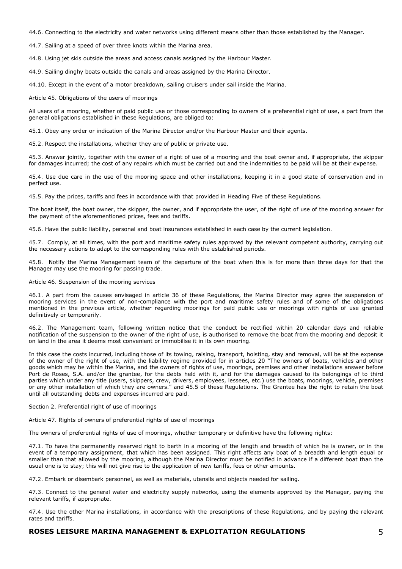44.6. Connecting to the electricity and water networks using different means other than those established by the Manager.

44.7. Sailing at a speed of over three knots within the Marina area.

44.8. Using jet skis outside the areas and access canals assigned by the Harbour Master.

44.9. Sailing dinghy boats outside the canals and areas assigned by the Marina Director.

44.10. Except in the event of a motor breakdown, sailing cruisers under sail inside the Marina.

Article 45. Obligations of the users of moorings

All users of a mooring, whether of paid public use or those corresponding to owners of a preferential right of use, a part from the general obligations established in these Regulations, are obliged to:

45.1. Obey any order or indication of the Marina Director and/or the Harbour Master and their agents.

45.2. Respect the installations, whether they are of public or private use.

45.3. Answer jointly, together with the owner of a right of use of a mooring and the boat owner and, if appropriate, the skipper for damages incurred; the cost of any repairs which must be carried out and the indemnities to be paid will be at their expense.

45.4. Use due care in the use of the mooring space and other installations, keeping it in a good state of conservation and in perfect use.

45.5. Pay the prices, tariffs and fees in accordance with that provided in Heading Five of these Regulations.

The boat itself, the boat owner, the skipper, the owner, and if appropriate the user, of the right of use of the mooring answer for the payment of the aforementioned prices, fees and tariffs.

45.6. Have the public liability, personal and boat insurances established in each case by the current legislation.

45.7. Comply, at all times, with the port and maritime safety rules approved by the relevant competent authority, carrying out the necessary actions to adapt to the corresponding rules with the established periods.

45.8. Notify the Marina Management team of the departure of the boat when this is for more than three days for that the Manager may use the mooring for passing trade.

Article 46. Suspension of the mooring services

46.1. A part from the causes envisaged in article 36 of these Regulations, the Marina Director may agree the suspension of mooring services in the event of non-compliance with the port and maritime safety rules and of some of the obligations mentioned in the previous article, whether regarding moorings for paid public use or moorings with rights of use granted definitively or temporarily.

46.2. The Management team, following written notice that the conduct be rectified within 20 calendar days and reliable notification of the suspension to the owner of the right of use, is authorised to remove the boat from the mooring and deposit it on land in the area it deems most convenient or immobilise it in its own mooring.

In this case the costs incurred, including those of its towing, raising, transport, hoisting, stay and removal, will be at the expense of the owner of the right of use, with the liability regime provided for in articles 20 "The owners of boats, vehicles and other goods which may be within the Marina, and the owners of rights of use, moorings, premises and other installations answer before Port de Roses, S.A. and/or the grantee, for the debts held with it, and for the damages caused to its belongings of to third parties which under any title (users, skippers, crew, drivers, employees, lessees, etc.) use the boats, moorings, vehicle, premises or any other installation of which they are owners." and 45.5 of these Regulations. The Grantee has the right to retain the boat until all outstanding debts and expenses incurred are paid.

Section 2. Preferential right of use of moorings

Article 47. Rights of owners of preferential rights of use of moorings

The owners of preferential rights of use of moorings, whether temporary or definitive have the following rights:

47.1. To have the permanently reserved right to berth in a mooring of the length and breadth of which he is owner, or in the event of a temporary assignment, that which has been assigned. This right affects any boat of a breadth and length equal or smaller than that allowed by the mooring, although the Marina Director must be notified in advance if a different boat than the usual one is to stay; this will not give rise to the application of new tariffs, fees or other amounts.

47.2. Embark or disembark personnel, as well as materials, utensils and objects needed for sailing.

47.3. Connect to the general water and electricity supply networks, using the elements approved by the Manager, paying the relevant tariffs, if appropriate.

47.4. Use the other Marina installations, in accordance with the prescriptions of these Regulations, and by paying the relevant rates and tariffs.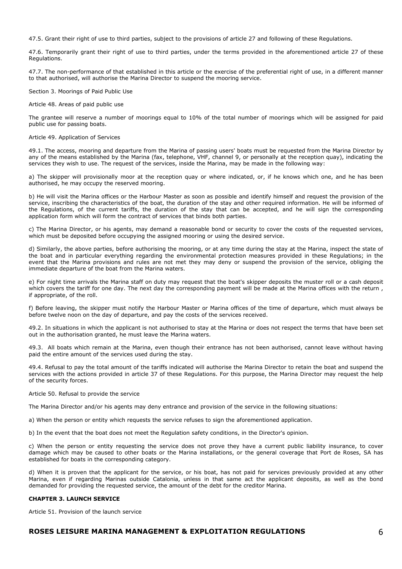47.5. Grant their right of use to third parties, subject to the provisions of article 27 and following of these Regulations.

47.6. Temporarily grant their right of use to third parties, under the terms provided in the aforementioned article 27 of these Regulations.

47.7. The non-performance of that established in this article or the exercise of the preferential right of use, in a different manner to that authorised, will authorise the Marina Director to suspend the mooring service.

Section 3. Moorings of Paid Public Use

Article 48. Areas of paid public use

The grantee will reserve a number of moorings equal to 10% of the total number of moorings which will be assigned for paid public use for passing boats.

Article 49. Application of Services

49.1. The access, mooring and departure from the Marina of passing users' boats must be requested from the Marina Director by any of the means established by the Marina (fax, telephone, VHF, channel 9, or personally at the reception quay), indicating the services they wish to use. The request of the services, inside the Marina, may be made in the following way:

a) The skipper will provisionally moor at the reception quay or where indicated, or, if he knows which one, and he has been authorised, he may occupy the reserved mooring.

b) He will visit the Marina offices or the Harbour Master as soon as possible and identify himself and request the provision of the service, inscribing the characteristics of the boat, the duration of the stay and other required information. He will be informed of the Regulations, of the current tariffs, the duration of the stay that can be accepted, and he will sign the corresponding application form which will form the contract of services that binds both parties.

c) The Marina Director, or his agents, may demand a reasonable bond or security to cover the costs of the requested services, which must be deposited before occupying the assigned mooring or using the desired service.

d) Similarly, the above parties, before authorising the mooring, or at any time during the stay at the Marina, inspect the state of the boat and in particular everything regarding the environmental protection measures provided in these Regulations; in the event that the Marina provisions and rules are not met they may deny or suspend the provision of the service, obliging the immediate departure of the boat from the Marina waters.

e) For night time arrivals the Marina staff on duty may request that the boat's skipper deposits the muster roll or a cash deposit which covers the tariff for one day. The next day the corresponding payment will be made at the Marina offices with the return, if appropriate, of the roll.

f) Before leaving, the skipper must notify the Harbour Master or Marina offices of the time of departure, which must always be before twelve noon on the day of departure, and pay the costs of the services received.

49.2. In situations in which the applicant is not authorised to stay at the Marina or does not respect the terms that have been set out in the authorisation granted, he must leave the Marina waters.

49.3. All boats which remain at the Marina, even though their entrance has not been authorised, cannot leave without having paid the entire amount of the services used during the stay.

49.4. Refusal to pay the total amount of the tariffs indicated will authorise the Marina Director to retain the boat and suspend the services with the actions provided in article 37 of these Regulations. For this purpose, the Marina Director may request the help of the security forces.

Article 50. Refusal to provide the service

The Marina Director and/or his agents may deny entrance and provision of the service in the following situations:

a) When the person or entity which requests the service refuses to sign the aforementioned application.

b) In the event that the boat does not meet the Regulation safety conditions, in the Director's opinion.

c) When the person or entity requesting the service does not prove they have a current public liability insurance, to cover damage which may be caused to other boats or the Marina installations, or the general coverage that Port de Roses, SA has established for boats in the corresponding category.

d) When it is proven that the applicant for the service, or his boat, has not paid for services previously provided at any other Marina, even if regarding Marinas outside Catalonia, unless in that same act the applicant deposits, as well as the bond demanded for providing the requested service, the amount of the debt for the creditor Marina.

# CHAPTER 3. LAUNCH SERVICE

Article 51. Provision of the launch service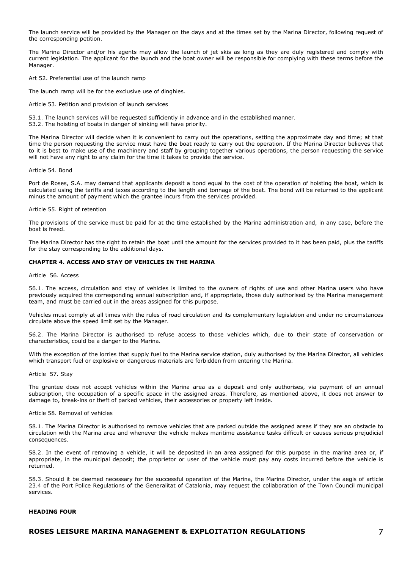The launch service will be provided by the Manager on the days and at the times set by the Marina Director, following request of the corresponding petition.

The Marina Director and/or his agents may allow the launch of jet skis as long as they are duly registered and comply with current legislation. The applicant for the launch and the boat owner will be responsible for complying with these terms before the Manager.

Art 52. Preferential use of the launch ramp

The launch ramp will be for the exclusive use of dinghies.

Article 53. Petition and provision of launch services

53.1. The launch services will be requested sufficiently in advance and in the established manner. 53.2. The hoisting of boats in danger of sinking will have priority.

The Marina Director will decide when it is convenient to carry out the operations, setting the approximate day and time; at that time the person requesting the service must have the boat ready to carry out the operation. If the Marina Director believes that to it is best to make use of the machinery and staff by grouping together various operations, the person requesting the service will not have any right to any claim for the time it takes to provide the service.

#### Article 54. Bond

Port de Roses, S.A. may demand that applicants deposit a bond equal to the cost of the operation of hoisting the boat, which is calculated using the tariffs and taxes according to the length and tonnage of the boat. The bond will be returned to the applicant minus the amount of payment which the grantee incurs from the services provided.

#### Article 55. Right of retention

The provisions of the service must be paid for at the time established by the Marina administration and, in any case, before the boat is freed.

The Marina Director has the right to retain the boat until the amount for the services provided to it has been paid, plus the tariffs for the stay corresponding to the additional days.

# CHAPTER 4. ACCESS AND STAY OF VEHICLES IN THE MARINA

#### Article 56. Access

56.1. The access, circulation and stay of vehicles is limited to the owners of rights of use and other Marina users who have previously acquired the corresponding annual subscription and, if appropriate, those duly authorised by the Marina management team, and must be carried out in the areas assigned for this purpose.

Vehicles must comply at all times with the rules of road circulation and its complementary legislation and under no circumstances circulate above the speed limit set by the Manager.

56.2. The Marina Director is authorised to refuse access to those vehicles which, due to their state of conservation or characteristics, could be a danger to the Marina.

With the exception of the lorries that supply fuel to the Marina service station, duly authorised by the Marina Director, all vehicles which transport fuel or explosive or dangerous materials are forbidden from entering the Marina.

# Article 57. Stay

The grantee does not accept vehicles within the Marina area as a deposit and only authorises, via payment of an annual subscription, the occupation of a specific space in the assigned areas. Therefore, as mentioned above, it does not answer to damage to, break-ins or theft of parked vehicles, their accessories or property left inside.

# Article 58. Removal of vehicles

58.1. The Marina Director is authorised to remove vehicles that are parked outside the assigned areas if they are an obstacle to circulation with the Marina area and whenever the vehicle makes maritime assistance tasks difficult or causes serious prejudicial consequences.

58.2. In the event of removing a vehicle, it will be deposited in an area assigned for this purpose in the marina area or, if appropriate, in the municipal deposit; the proprietor or user of the vehicle must pay any costs incurred before the vehicle is returned.

58.3. Should it be deemed necessary for the successful operation of the Marina, the Marina Director, under the aegis of article 23.4 of the Port Police Regulations of the Generalitat of Catalonia, may request the collaboration of the Town Council municipal services.

## HEADING FOUR

# ROSES LEISURE MARINA MANAGEMENT & EXPLOITATION REGULATIONS  $\overline{7}$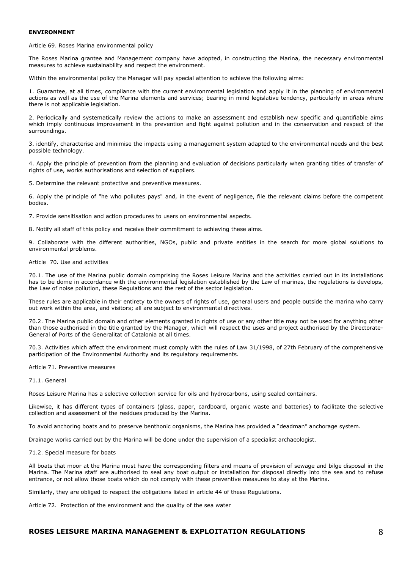## ENVIRONMENT

Article 69. Roses Marina environmental policy

The Roses Marina grantee and Management company have adopted, in constructing the Marina, the necessary environmental measures to achieve sustainability and respect the environment.

Within the environmental policy the Manager will pay special attention to achieve the following aims:

1. Guarantee, at all times, compliance with the current environmental legislation and apply it in the planning of environmental actions as well as the use of the Marina elements and services; bearing in mind legislative tendency, particularly in areas where there is not applicable legislation.

2. Periodically and systematically review the actions to make an assessment and establish new specific and quantifiable aims which imply continuous improvement in the prevention and fight against pollution and in the conservation and respect of the surroundings.

3. identify, characterise and minimise the impacts using a management system adapted to the environmental needs and the best possible technology.

4. Apply the principle of prevention from the planning and evaluation of decisions particularly when granting titles of transfer of rights of use, works authorisations and selection of suppliers.

5. Determine the relevant protective and preventive measures.

6. Apply the principle of "he who pollutes pays" and, in the event of negligence, file the relevant claims before the competent bodies.

7. Provide sensitisation and action procedures to users on environmental aspects.

8. Notify all staff of this policy and receive their commitment to achieving these aims.

9. Collaborate with the different authorities, NGOs, public and private entities in the search for more global solutions to environmental problems.

# Article 70. Use and activities

70.1. The use of the Marina public domain comprising the Roses Leisure Marina and the activities carried out in its installations has to be dome in accordance with the environmental legislation established by the Law of marinas, the regulations is develops, the Law of noise pollution, these Regulations and the rest of the sector legislation.

These rules are applicable in their entirety to the owners of rights of use, general users and people outside the marina who carry out work within the area, and visitors; all are subject to environmental directives.

70.2. The Marina public domain and other elements granted in rights of use or any other title may not be used for anything other than those authorised in the title granted by the Manager, which will respect the uses and project authorised by the Directorate-General of Ports of the Generalitat of Catalonia at all times.

70.3. Activities which affect the environment must comply with the rules of Law 31/1998, of 27th February of the comprehensive participation of the Environmental Authority and its regulatory requirements.

Article 71. Preventive measures

# 71.1. General

Roses Leisure Marina has a selective collection service for oils and hydrocarbons, using sealed containers.

Likewise, it has different types of containers (glass, paper, cardboard, organic waste and batteries) to facilitate the selective collection and assessment of the residues produced by the Marina.

To avoid anchoring boats and to preserve benthonic organisms, the Marina has provided a "deadman" anchorage system.

Drainage works carried out by the Marina will be done under the supervision of a specialist archaeologist.

## 71.2. Special measure for boats

All boats that moor at the Marina must have the corresponding filters and means of prevision of sewage and bilge disposal in the Marina. The Marina staff are authorised to seal any boat output or installation for disposal directly into the sea and to refuse entrance, or not allow those boats which do not comply with these preventive measures to stay at the Marina.

Similarly, they are obliged to respect the obligations listed in article 44 of these Regulations.

Article 72. Protection of the environment and the quality of the sea water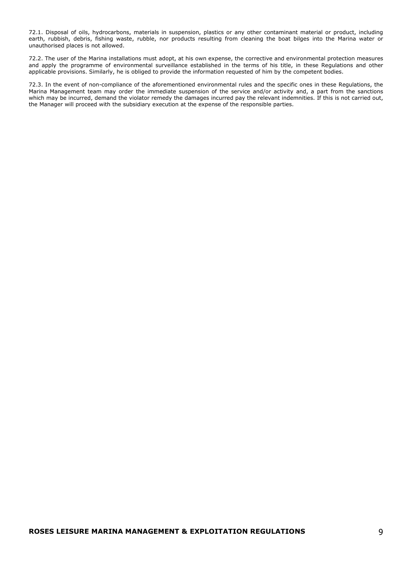72.1. Disposal of oils, hydrocarbons, materials in suspension, plastics or any other contaminant material or product, including earth, rubbish, debris, fishing waste, rubble, nor products resulting from cleaning the boat bilges into the Marina water or unauthorised places is not allowed.

72.2. The user of the Marina installations must adopt, at his own expense, the corrective and environmental protection measures and apply the programme of environmental surveillance established in the terms of his title, in these Regulations and other applicable provisions. Similarly, he is obliged to provide the information requested of him by the competent bodies.

72.3. In the event of non-compliance of the aforementioned environmental rules and the specific ones in these Regulations, the Marina Management team may order the immediate suspension of the service and/or activity and, a part from the sanctions which may be incurred, demand the violator remedy the damages incurred pay the relevant indemnities. If this is not carried out, the Manager will proceed with the subsidiary execution at the expense of the responsible parties.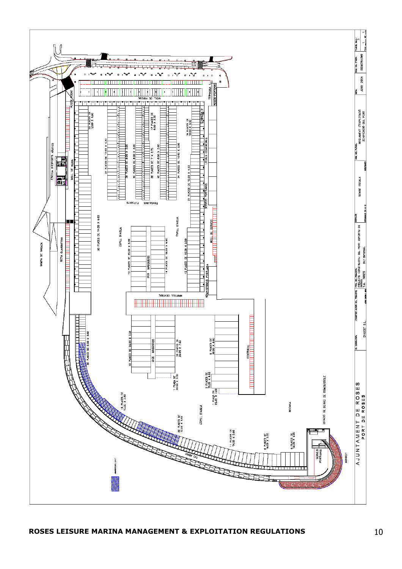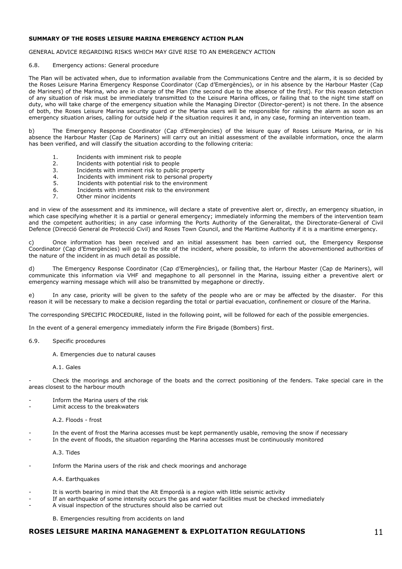# SUMMARY OF THE ROSES LEISURE MARINA EMERGENCY ACTION PLAN

# GENERAL ADVICE REGARDING RISKS WHICH MAY GIVE RISE TO AN EMERGENCY ACTION

# 6.8. Emergency actions: General procedure

The Plan will be activated when, due to information available from the Communications Centre and the alarm, it is so decided by the Roses Leisure Marina Emergency Response Coordinator (Cap d'Emergències), or in his absence by the Harbour Master (Cap de Mariners) of the Marina, who are in charge of the Plan (the second due to the absence of the first). For this reason detection of any situation of risk must be immediately transmitted to the Leisure Marina offices, or failing that to the night time staff on duty, who will take charge of the emergency situation while the Managing Director (Director-gerent) is not there. In the absence of both, the Roses Leisure Marina security guard or the Marina users will be responsible for raising the alarm as soon as an emergency situation arises, calling for outside help if the situation requires it and, in any case, forming an intervention team.

b) The Emergency Response Coordinator (Cap d'Emergències) of the leisure quay of Roses Leisure Marina, or in his absence the Harbour Master (Cap de Mariners) will carry out an initial assessment of the available information, once the alarm has been verified, and will classify the situation according to the following criteria:

- 1. Incidents with imminent risk to people<br>2. Incidents with potential risk to people
- Incidents with potential risk to people
- 3. Incidents with imminent risk to public property<br>4. Incidents with imminent risk to personal prope
- 4. Incidents with imminent risk to personal property<br>5. Incidents with potential risk to the environment
- 5. Incidents with potential risk to the environment<br>6. Incidents with imminent risk to the environment
- 6. Incidents with imminent risk to the environment  $\overline{z}$  Other minor incidents
- Other minor incidents

and in view of the assessment and its imminence, will declare a state of preventive alert or, directly, an emergency situation, in which case specifying whether it is a partial or general emergency; immediately informing the members of the intervention team and the competent authorities; in any case informing the Ports Authority of the Generalitat, the Directorate-General of Civil Defence (Direcció General de Protecció Civil) and Roses Town Council, and the Maritime Authority if it is a maritime emergency.

Once information has been received and an initial assessment has been carried out, the Emergency Response Coordinator (Cap d'Emergències) will go to the site of the incident, where possible, to inform the abovementioned authorities of the nature of the incident in as much detail as possible.

d) The Emergency Response Coordinator (Cap d'Emergències), or failing that, the Harbour Master (Cap de Mariners), will communicate this information via VHF and megaphone to all personnel in the Marina, issuing either a preventive alert or emergency warning message which will also be transmitted by megaphone or directly.

e) In any case, priority will be given to the safety of the people who are or may be affected by the disaster. For this reason it will be necessary to make a decision regarding the total or partial evacuation, confinement or closure of the Marina.

The corresponding SPECIFIC PROCEDURE, listed in the following point, will be followed for each of the possible emergencies.

In the event of a general emergency immediately inform the Fire Brigade (Bombers) first.

- 6.9. Specific procedures
	- A. Emergencies due to natural causes
	- A.1. Gales

Check the moorings and anchorage of the boats and the correct positioning of the fenders. Take special care in the areas closest to the harbour mouth

- Inform the Marina users of the risk
- Limit access to the breakwaters

A.2. Floods - frost

In the event of frost the Marina accesses must be kept permanently usable, removing the snow if necessary In the event of floods, the situation regarding the Marina accesses must be continuously monitored

A.3. Tides

Inform the Marina users of the risk and check moorings and anchorage

A.4. Earthquakes

- It is worth bearing in mind that the Alt Empordà is a region with little seismic activity
- If an earthquake of some intensity occurs the gas and water facilities must be checked immediately
- A visual inspection of the structures should also be carried out

B. Emergencies resulting from accidents on land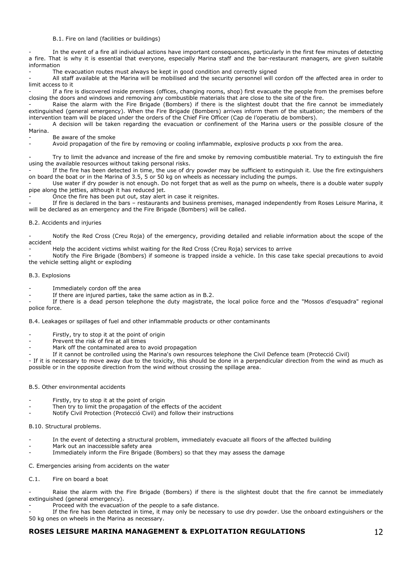# B.1. Fire on land (facilities or buildings)

In the event of a fire all individual actions have important consequences, particularly in the first few minutes of detecting a fire. That is why it is essential that everyone, especially Marina staff and the bar-restaurant managers, are given suitable information

The evacuation routes must always be kept in good condition and correctly signed

- All staff available at the Marina will be mobilised and the security personnel will cordon off the affected area in order to limit access to it

If a fire is discovered inside premises (offices, changing rooms, shop) first evacuate the people from the premises before closing the doors and windows and removing any combustible materials that are close to the site of the fire.

Raise the alarm with the Fire Brigade (Bombers) if there is the slightest doubt that the fire cannot be immediately extinguished (general emergency). When the Fire Brigade (Bombers) arrives inform them of the situation; the members of the intervention team will be placed under the orders of the Chief Fire Officer (Cap de l'operatiu de bombers).

A decision will be taken regarding the evacuation or confinement of the Marina users or the possible closure of the Marina.

- Be aware of the smoke
- Avoid propagation of the fire by removing or cooling inflammable, explosive products p xxx from the area.

Try to limit the advance and increase of the fire and smoke by removing combustible material. Try to extinguish the fire using the available resources without taking personal risks.

If the fire has been detected in time, the use of dry powder may be sufficient to extinguish it. Use the fire extinguishers on board the boat or in the Marina of 3.5, 5 or 50 kg on wheels as necessary including the pumps.

Use water if dry powder is not enough. Do not forget that as well as the pump on wheels, there is a double water supply pipe along the jetties, although it has reduced jet.

Once the fire has been put out, stay alert in case it reignites.

If fire is declared in the bars – restaurants and business premises, managed independently from Roses Leisure Marina, it will be declared as an emergency and the Fire Brigade (Bombers) will be called.

# B.2. Accidents and injuries

Notify the Red Cross (Creu Roja) of the emergency, providing detailed and reliable information about the scope of the accident

- Help the accident victims whilst waiting for the Red Cross (Creu Roja) services to arrive

- Notify the Fire Brigade (Bombers) if someone is trapped inside a vehicle. In this case take special precautions to avoid the vehicle setting alight or exploding

## B.3. Explosions

- Immediately cordon off the area
- If there are injured parties, take the same action as in B.2.

If there is a dead person telephone the duty magistrate, the local police force and the "Mossos d'esquadra" regional police force.

B.4. Leakages or spillages of fuel and other inflammable products or other contaminants

- Firstly, try to stop it at the point of origin
- Prevent the risk of fire at all times
- Mark off the contaminated area to avoid propagation

If it cannot be controlled using the Marina's own resources telephone the Civil Defence team (Protecció Civil)

- If it is necessary to move away due to the toxicity, this should be done in a perpendicular direction from the wind as much as possible or in the opposite direction from the wind without crossing the spillage area.

## B.5. Other environmental accidents

- Firstly, try to stop it at the point of origin
- Then try to limit the propagation of the effects of the accident
- Notify Civil Protection (Protecció Civil) and follow their instructions

B.10. Structural problems.

- In the event of detecting a structural problem, immediately evacuate all floors of the affected building
- Mark out an inaccessible safety area
- Immediately inform the Fire Brigade (Bombers) so that they may assess the damage

C. Emergencies arising from accidents on the water

C.1. Fire on board a boat

Raise the alarm with the Fire Brigade (Bombers) if there is the slightest doubt that the fire cannot be immediately extinguished (general emergency).

Proceed with the evacuation of the people to a safe distance.

If the fire has been detected in time, it may only be necessary to use dry powder. Use the onboard extinguishers or the 50 kg ones on wheels in the Marina as necessary.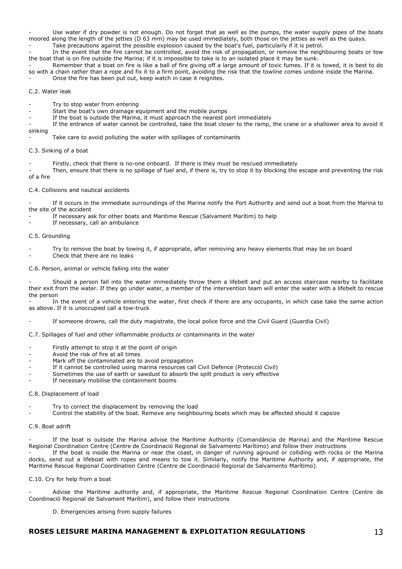Use water if dry powder is not enough. Do not forget that as well as the pumps, the water supply pipes of the boats moored along the length of the jetties (D 63 mm) may be used immediately, both those on the jetties as well as the quays. Take precautions against the possible explosion caused by the boat's fuel, particularly if it is petrol.

In the event that the fire cannot be controlled, avoid the risk of propagation, or remove the neighbouring boats or tow the boat that is on fire outside the Marina; if it is impossible to take is to an isolated place it may be sunk.

Remember that a boat on fire is like a ball of fire giving off a large amount of toxic fumes. If it is towed, it is best to do so with a chain rather than a rope and fix it to a firm point, avoiding the risk that the towline comes undone inside the Marina.

Once the fire has been put out, keep watch in case it reignites.

# C.2. Water leak

Try to stop water from entering

Start the boat's own drainage equipment and the mobile pumps

If the boat is outside the Marina, it must approach the nearest port immediately

If the entrance of water cannot be controlled, take the boat closer to the ramp, the crane or a shallower area to avoid it sinking

Take care to avoid polluting the water with spillages of contaminants

C.3. Sinking of a boat

Firstly, check that there is no-one onboard. If there is they must be rescued immediately

Then, ensure that there is no spillage of fuel and, if there is, try to stop it by blocking the escape and preventing the risk of a fire

C.4. Collisions and nautical accidents

If it occurs in the immediate surroundings of the Marina notify the Port Authority and send out a boat from the Marina to the site of the accident

If necessary ask for other boats and Maritime Rescue (Salvament Marítim) to help

If necessary, call an ambulance

## C.5. Grounding

- Try to remove the boat by towing it, if appropriate, after removing any heavy elements that may be on board Check that there are no leaks

C.6. Person, animal or vehicle falling into the water

- Should a person fall into the water immediately throw them a lifebelt and put an access staircase nearby to facilitate their exit from the water. If they go under water, a member of the intervention team will enter the water with a lifebelt to rescue the person

In the event of a vehicle entering the water, first check if there are any occupants, in which case take the same action as above. If it is unoccupied call a tow-truck

If someone drowns, call the duty magistrate, the local police force and the Civil Guard (Guardia Civil)

C.7. Spillages of fuel and other inflammable products or contaminants in the water

- Firstly attempt to stop it at the point of origin
- Avoid the risk of fire at all times
- Mark off the contaminated are to avoid propagation
- If it cannot be controlled using marina resources call Civil Defence (Protecció Civil)
- Sometimes the use of earth or sawdust to absorb the spilt product is very effective
- If necessary mobilise the containment booms

## C.8. Displacement of load

- Try to correct the displacement by removing the load
- Control the stability of the boat. Remove any neighbouring boats which may be affected should it capsize

# C.9. Boat adrift

If the boat is outside the Marina advise the Maritime Authority (Comandància de Marina) and the Maritime Rescue Regional Coordination Centre (Centre de Coordinació Regional de Salvamento Marítimo) and follow their instructions

If the boat is inside the Marina or near the coast, in danger of running aground or colliding with rocks or the Marina docks, send out a lifeboat with ropes and means to tow it. Similarly, notify the Maritime Authority and, if appropriate, the Maritime Rescue Regional Coordination Centre (Centre de Coordinació Regional de Salvamento Marítimo).

# C.10. Cry for help from a boat

Advise the Maritime authority and, if appropriate, the Maritime Rescue Regional Coordination Centre (Centre de Coordinació Regional de Salvament Marítim), and follow their instructions

D. Emergencies arising from supply failures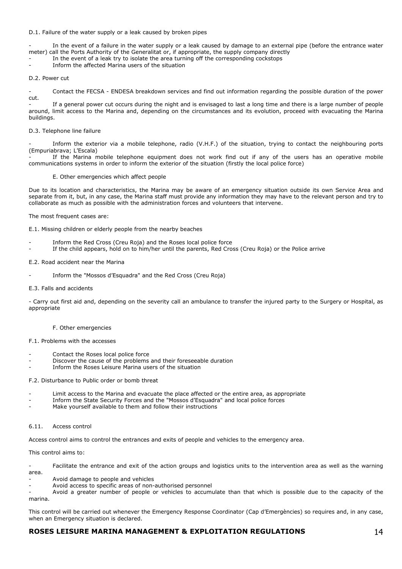# D.1. Failure of the water supply or a leak caused by broken pipes

In the event of a failure in the water supply or a leak caused by damage to an external pipe (before the entrance water meter) call the Ports Authority of the Generalitat or, if appropriate, the supply company directly

- In the event of a leak try to isolate the area turning off the corresponding cockstops
- Inform the affected Marina users of the situation

# D.2. Power cut

- Contact the FECSA - ENDESA breakdown services and find out information regarding the possible duration of the power cut.

If a general power cut occurs during the night and is envisaged to last a long time and there is a large number of people around, limit access to the Marina and, depending on the circumstances and its evolution, proceed with evacuating the Marina buildings.

# D.3. Telephone line failure

Inform the exterior via a mobile telephone, radio (V.H.F.) of the situation, trying to contact the neighbouring ports (Empuriabrava; L'Escala)

If the Marina mobile telephone equipment does not work find out if any of the users has an operative mobile communications systems in order to inform the exterior of the situation (firstly the local police force)

E. Other emergencies which affect people

Due to its location and characteristics, the Marina may be aware of an emergency situation outside its own Service Area and separate from it, but, in any case, the Marina staff must provide any information they may have to the relevant person and try to collaborate as much as possible with the administration forces and volunteers that intervene.

The most frequent cases are:

E.1. Missing children or elderly people from the nearby beaches

- Inform the Red Cross (Creu Roja) and the Roses local police force
- If the child appears, hold on to him/her until the parents, Red Cross (Creu Roja) or the Police arrive

## E.2. Road accident near the Marina

Inform the "Mossos d'Esquadra" and the Red Cross (Creu Roja)

# E.3. Falls and accidents

- Carry out first aid and, depending on the severity call an ambulance to transfer the injured party to the Surgery or Hospital, as appropriate

## F. Other emergencies

## F.1. Problems with the accesses

- Contact the Roses local police force
- Discover the cause of the problems and their foreseeable duration
- Inform the Roses Leisure Marina users of the situation

## F.2. Disturbance to Public order or bomb threat

- Limit access to the Marina and evacuate the place affected or the entire area, as appropriate
- Inform the State Security Forces and the "Mossos d'Esquadra" and local police forces
- Make yourself available to them and follow their instructions

# 6.11. Access control

Access control aims to control the entrances and exits of people and vehicles to the emergency area.

This control aims to:

Facilitate the entrance and exit of the action groups and logistics units to the intervention area as well as the warning area.

- Avoid damage to people and vehicles
- Avoid access to specific areas of non-authorised personnel

- Avoid a greater number of people or vehicles to accumulate than that which is possible due to the capacity of the marina.

This control will be carried out whenever the Emergency Response Coordinator (Cap d'Emergències) so requires and, in any case, when an Emergency situation is declared.